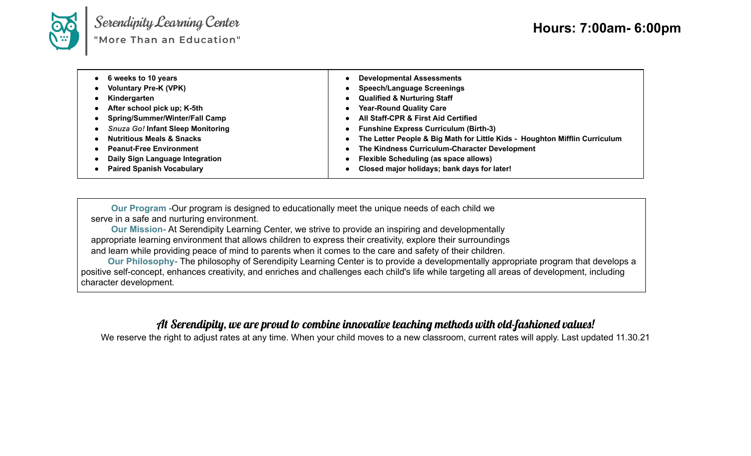

Serendipity Learning Center<br>"More Than an Education"

| $\bullet$<br>$\bullet$ | • 6 weeks to 10 years<br>• Voluntary Pre-K (VPK)<br>Kindergarten<br>• After school pick up; K-5th<br>• Spring/Summer/Winter/Fall Camp<br>• Snuza Go! Infant Sleep Monitoring<br><b>Nutritious Meals &amp; Snacks</b><br>• Peanut-Free Environment | $\bullet$<br>$\bullet$<br>$\bullet$<br>$\bullet$ | <b>Developmental Assessments</b><br><b>Speech/Language Screenings</b><br><b>Qualified &amp; Nurturing Staff</b><br><b>Year-Round Quality Care</b><br><b>All Staff-CPR &amp; First Aid Certified</b><br><b>Funshine Express Curriculum (Birth-3)</b><br>The Letter People & Big Math for Little Kids - Houghton Mifflin Curriculum<br>The Kindness Curriculum-Character Development |
|------------------------|---------------------------------------------------------------------------------------------------------------------------------------------------------------------------------------------------------------------------------------------------|--------------------------------------------------|------------------------------------------------------------------------------------------------------------------------------------------------------------------------------------------------------------------------------------------------------------------------------------------------------------------------------------------------------------------------------------|
|                        | • Daily Sign Language Integration<br>• Paired Spanish Vocabulary                                                                                                                                                                                  |                                                  | <b>Flexible Scheduling (as space allows)</b><br>Closed major holidays; bank days for later!                                                                                                                                                                                                                                                                                        |

**Our Program -**Our program is designed to educationally meet the unique needs of each child we serve in a safe and nurturing environment.

**Our Mission-** At Serendipity Learning Center, we strive to provide an inspiring and developmentally appropriate learning environment that allows children to express their creativity, explore their surroundings and learn while providing peace of mind to parents when it comes to the care and safety of their children.

**Our Philosophy-** The philosophy of Serendipity Learning Center is to provide a developmentally appropriate program that develops a positive self-concept, enhances creativity, and enriches and challenges each child's life while targeting all areas of development, including character development.

## At Serendipity, we are proud to combine innovative teaching methods with old-fashioned values!

We reserve the right to adjust rates at any time. When your child moves to a new classroom, current rates will apply. Last updated 11.30.21